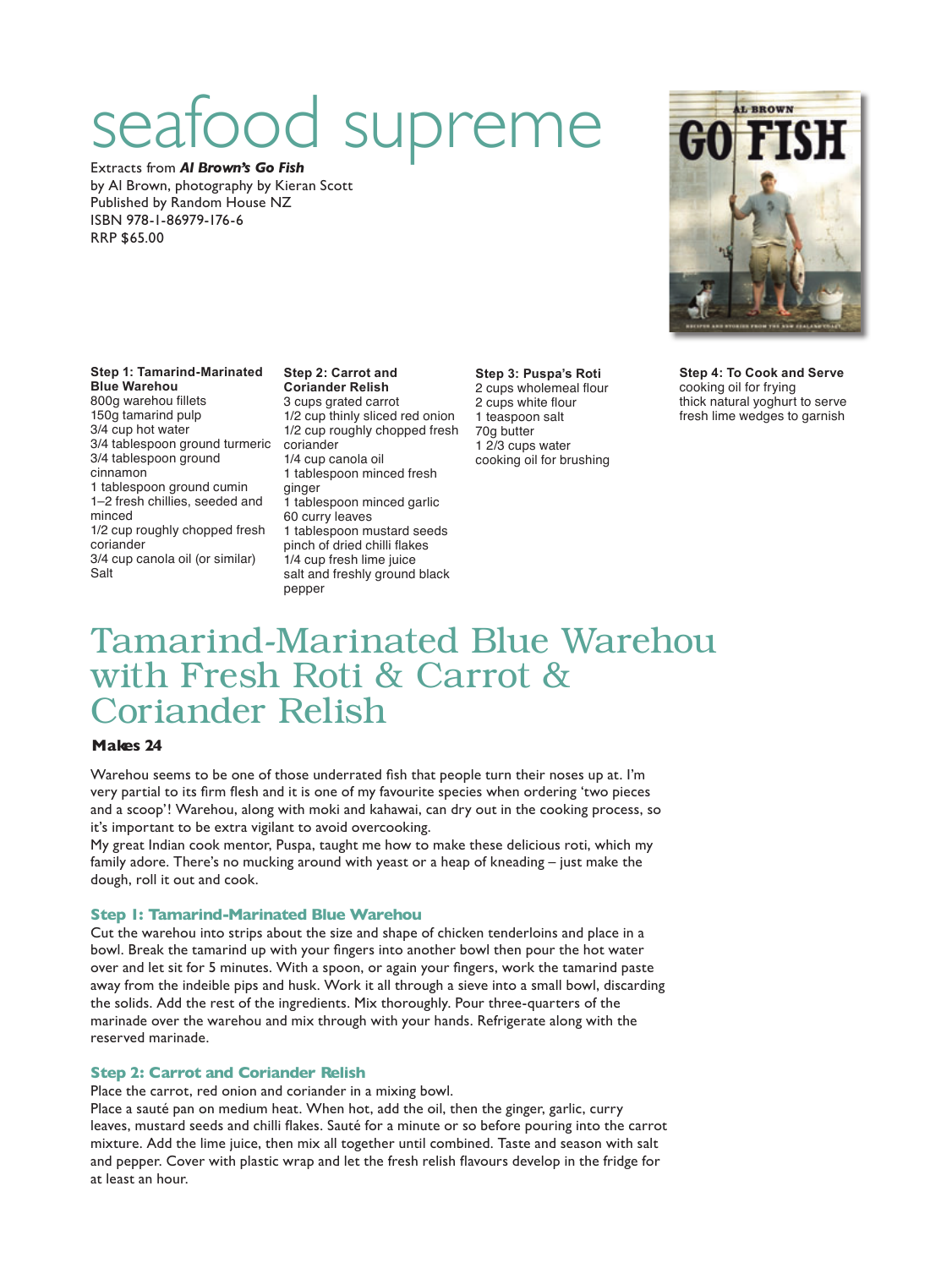# od supreme

Extracts from *Al Brown's Go Fish* by Al Brown, photography by Kieran Scott Published by Random House NZ ISBN 978-1-86979-176-6 RRP \$65.00

### **Step 2: Carrot and**

3/4 tablespoon ground turmeric coriander **Coriander Relish** 3 cups grated carrot 1/2 cup thinly sliced red onion 1/2 cup roughly chopped fresh

3/4 tablespoon ground cinnamon 1 tablespoon ground cumin 1–2 fresh chillies, seeded and 1/2 cup roughly chopped fresh

coriander 3/4 cup canola oil (or similar)

**Step 1: Tamarind-Marinated** 

**Blue Warehou** 800g warehou fillets 150g tamarind pulp 3/4 cup hot water

minced

**Salt** 

1/4 cup canola oil 1 tablespoon minced fresh ginger 1 tablespoon minced garlic 60 curry leaves 1 tablespoon mustard seeds pinch of dried chilli flakes 1/4 cup fresh lime juice salt and freshly ground black pepper

**Step 3: Puspa's Roti** 2 cups wholemeal flour 2 cups white flour 1 teaspoon salt 70g butter 1 2/3 cups water cooking oil for brushing **Step 4: To Cook and Serve** cooking oil for frying thick natural yoghurt to serve fresh lime wedges to garnish

## Tamarind-Marinated Blue Warehou with Fresh Roti & Carrot & Coriander Relish

#### **Makes 24**

Warehou seems to be one of those underrated fish that people turn their noses up at. I'm very partial to its firm flesh and it is one of my favourite species when ordering 'two pieces and a scoop'! Warehou, along with moki and kahawai, can dry out in the cooking process, so it's important to be extra vigilant to avoid overcooking.

My great Indian cook mentor, Puspa, taught me how to make these delicious roti, which my family adore. There's no mucking around with yeast or a heap of kneading – just make the dough, roll it out and cook.

#### **Step 1: Tamarind-Marinated Blue Warehou**

Cut the warehou into strips about the size and shape of chicken tenderloins and place in a bowl. Break the tamarind up with your fingers into another bowl then pour the hot water over and let sit for 5 minutes. With a spoon, or again your fingers, work the tamarind paste away from the indeible pips and husk. Work it all through a sieve into a small bowl, discarding the solids. Add the rest of the ingredients. Mix thoroughly. Pour three-quarters of the marinade over the warehou and mix through with your hands. Refrigerate along with the reserved marinade.

#### **Step 2: Carrot and Coriander Relish**

Place the carrot, red onion and coriander in a mixing bowl.

Place a sauté pan on medium heat. When hot, add the oil, then the ginger, garlic, curry leaves, mustard seeds and chilli flakes. Sauté for a minute or so before pouring into the carrot mixture. Add the lime juice, then mix all together until combined. Taste and season with salt and pepper. Cover with plastic wrap and let the fresh relish flavours develop in the fridge for at least an hour.